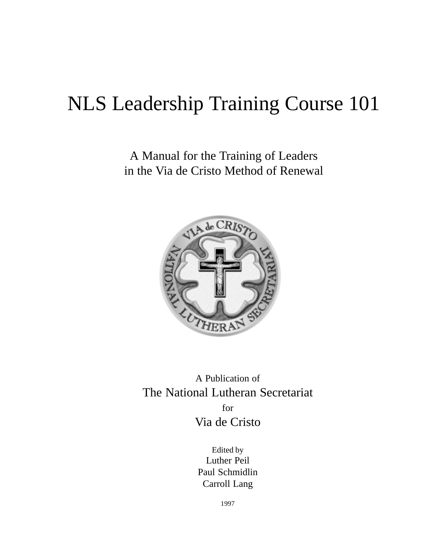# NLS Leadership Training Course 101

A Manual for the Training of Leaders in the Via de Cristo Method of Renewal



A Publication of The National Lutheran Secretariat for Via de Cristo

> Edited by Luther Peil Paul Schmidlin Carroll Lang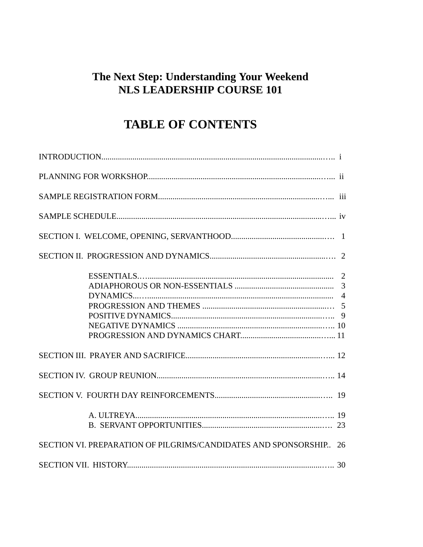### The Next Step: Understanding Your Weekend **NLS LEADERSHIP COURSE 101**

## **TABLE OF CONTENTS**

| SECTION VI. PREPARATION OF PILGRIMS/CANDIDATES AND SPONSORSHIP 26 |
|-------------------------------------------------------------------|
|                                                                   |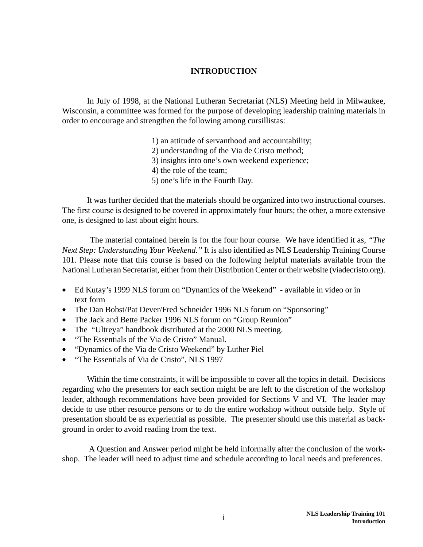#### **INTRODUCTION**

In July of 1998, at the National Lutheran Secretariat (NLS) Meeting held in Milwaukee, Wisconsin, a committee was formed for the purpose of developing leadership training materials in order to encourage and strengthen the following among cursillistas:

- 1) an attitude of servanthood and accountability;
- 2) understanding of the Via de Cristo method;
- 3) insights into one's own weekend experience;
- 4) the role of the team;
- 5) one's life in the Fourth Day.

It was further decided that the materials should be organized into two instructional courses. The first course is designed to be covered in approximately four hours; the other, a more extensive one, is designed to last about eight hours.

The material contained herein is for the four hour course. We have identified it as, *"The Next Step: Understanding Your Weekend."* It is also identified as NLS Leadership Training Course 101. Please note that this course is based on the following helpful materials available from the National Lutheran Secretariat, either from their Distribution Center or their website (viadecristo.org).

- Ed Kutay's 1999 NLS forum on "Dynamics of the Weekend" available in video or in text form
- The Dan Bobst/Pat Dever/Fred Schneider 1996 NLS forum on "Sponsoring"
- The Jack and Bette Packer 1996 NLS forum on "Group Reunion"
- The "Ultreya" handbook distributed at the 2000 NLS meeting.
- "The Essentials of the Via de Cristo" Manual.
- "Dynamics of the Via de Cristo Weekend" by Luther Piel
- "The Essentials of Via de Cristo", NLS 1997

Within the time constraints, it will be impossible to cover all the topics in detail. Decisions regarding who the presenters for each section might be are left to the discretion of the workshop leader, although recommendations have been provided for Sections V and VI. The leader may decide to use other resource persons or to do the entire workshop without outside help. Style of presentation should be as experiential as possible. The presenter should use this material as background in order to avoid reading from the text.

 A Question and Answer period might be held informally after the conclusion of the workshop. The leader will need to adjust time and schedule according to local needs and preferences.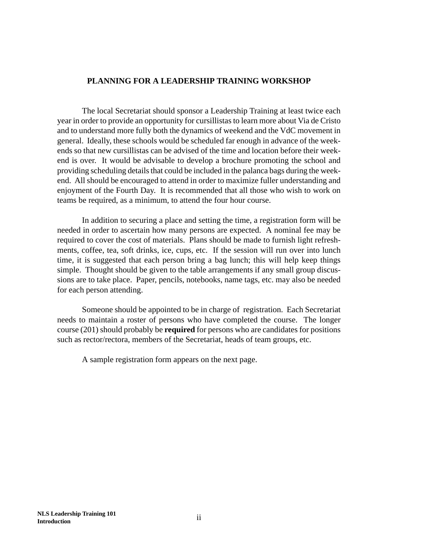#### **PLANNING FOR A LEADERSHIP TRAINING WORKSHOP**

The local Secretariat should sponsor a Leadership Training at least twice each year in order to provide an opportunity for cursillistas to learn more about Via de Cristo and to understand more fully both the dynamics of weekend and the VdC movement in general. Ideally, these schools would be scheduled far enough in advance of the weekends so that new cursillistas can be advised of the time and location before their weekend is over. It would be advisable to develop a brochure promoting the school and providing scheduling details that could be included in the palanca bags during the weekend. All should be encouraged to attend in order to maximize fuller understanding and enjoyment of the Fourth Day. It is recommended that all those who wish to work on teams be required, as a minimum, to attend the four hour course.

In addition to securing a place and setting the time, a registration form will be needed in order to ascertain how many persons are expected. A nominal fee may be required to cover the cost of materials. Plans should be made to furnish light refreshments, coffee, tea, soft drinks, ice, cups, etc. If the session will run over into lunch time, it is suggested that each person bring a bag lunch; this will help keep things simple. Thought should be given to the table arrangements if any small group discussions are to take place. Paper, pencils, notebooks, name tags, etc. may also be needed for each person attending.

Someone should be appointed to be in charge of registration. Each Secretariat needs to maintain a roster of persons who have completed the course. The longer course (201) should probably be **required** for persons who are candidates for positions such as rector/rectora, members of the Secretariat, heads of team groups, etc.

A sample registration form appears on the next page.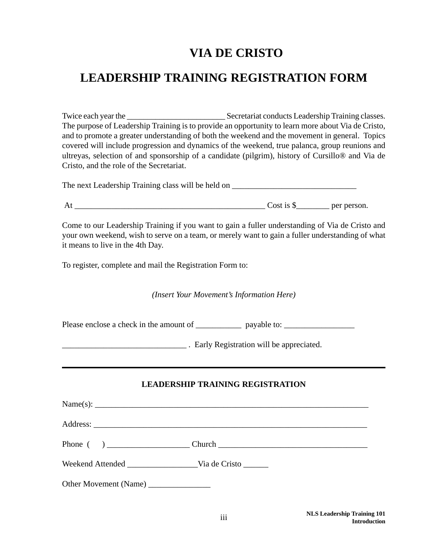### **VIA DE CRISTO**

### **LEADERSHIP TRAINING REGISTRATION FORM**

Twice each year the Secretariat conducts Leadership Training classes. The purpose of Leadership Training is to provide an opportunity to learn more about Via de Cristo, and to promote a greater understanding of both the weekend and the movement in general. Topics covered will include progression and dynamics of the weekend, true palanca, group reunions and ultreyas, selection of and sponsorship of a candidate (pilgrim), history of Cursillo® and Via de Cristo, and the role of the Secretariat.

The next Leadership Training class will be held on \_\_\_\_\_\_\_\_\_\_\_\_\_\_\_\_\_\_\_\_\_\_\_\_\_\_\_\_\_\_

At \_\_\_\_\_\_\_\_\_\_\_\_\_\_\_\_\_\_\_\_\_\_\_\_\_\_\_\_\_\_\_\_\_\_\_\_\_\_\_\_\_\_\_\_\_\_ Cost is \$\_\_\_\_\_\_\_\_ per person.

Come to our Leadership Training if you want to gain a fuller understanding of Via de Cristo and your own weekend, wish to serve on a team, or merely want to gain a fuller understanding of what it means to live in the 4th Day.

To register, complete and mail the Registration Form to:

*(Insert Your Movement's Information Here)*

Please enclose a check in the amount of \_\_\_\_\_\_\_\_\_\_\_\_\_ payable to: \_\_\_\_\_\_\_\_\_\_\_\_\_\_

**Early Registration will be appreciated.** 

#### **LEADERSHIP TRAINING REGISTRATION**

| Weekend Attended Via de Cristo |  |
|--------------------------------|--|
|                                |  |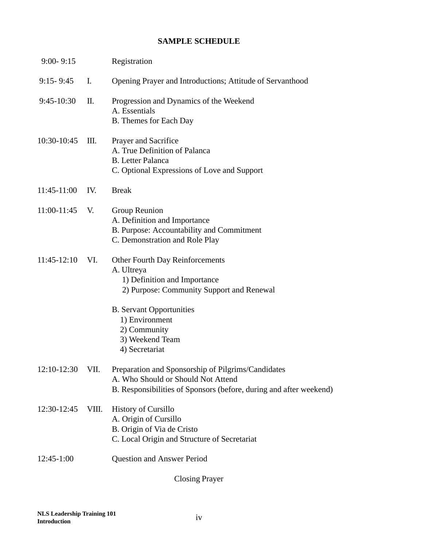#### **SAMPLE SCHEDULE**

| $9:00 - 9:15$ |       | Registration                                                                                                                                                   |
|---------------|-------|----------------------------------------------------------------------------------------------------------------------------------------------------------------|
| $9:15 - 9:45$ | Ι.    | Opening Prayer and Introductions; Attitude of Servanthood                                                                                                      |
| $9:45-10:30$  | Π.    | Progression and Dynamics of the Weekend<br>A. Essentials<br><b>B.</b> Themes for Each Day                                                                      |
| 10:30-10:45   | Ш.    | Prayer and Sacrifice<br>A. True Definition of Palanca<br><b>B.</b> Letter Palanca<br>C. Optional Expressions of Love and Support                               |
| $11:45-11:00$ | IV.   | <b>Break</b>                                                                                                                                                   |
| 11:00-11:45   | V.    | Group Reunion<br>A. Definition and Importance<br>B. Purpose: Accountability and Commitment<br>C. Demonstration and Role Play                                   |
| $11:45-12:10$ | VI.   | <b>Other Fourth Day Reinforcements</b><br>A. Ultreya<br>1) Definition and Importance<br>2) Purpose: Community Support and Renewal                              |
|               |       | <b>B.</b> Servant Opportunities<br>1) Environment<br>2) Community<br>3) Weekend Team<br>4) Secretariat                                                         |
| $12:10-12:30$ | VII.  | Preparation and Sponsorship of Pilgrims/Candidates<br>A. Who Should or Should Not Attend<br>B. Responsibilities of Sponsors (before, during and after weekend) |
| 12:30-12:45   | VIII. | History of Cursillo<br>A. Origin of Cursillo<br>B. Origin of Via de Cristo<br>C. Local Origin and Structure of Secretariat                                     |
| $12:45-1:00$  |       | <b>Question and Answer Period</b>                                                                                                                              |
|               |       |                                                                                                                                                                |

Closing Prayer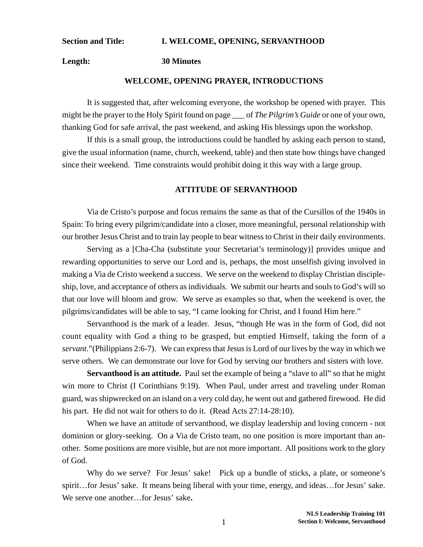#### **Section and Title: I. WELCOME, OPENING, SERVANTHOOD**

**Length: 30 Minutes**

#### **WELCOME, OPENING PRAYER, INTRODUCTIONS**

It is suggested that, after welcoming everyone, the workshop be opened with prayer. This might be the prayer to the Holy Spirit found on page \_\_\_ of *The Pilgrim's Guide* or one of your own, thanking God for safe arrival, the past weekend, and asking His blessings upon the workshop.

If this is a small group, the introductions could be handled by asking each person to stand, give the usual information (name, church, weekend, table) and then state how things have changed since their weekend. Time constraints would prohibit doing it this way with a large group.

#### **ATTITUDE OF SERVANTHOOD**

Via de Cristo's purpose and focus remains the same as that of the Cursillos of the 1940s in Spain: To bring every pilgrim/candidate into a closer, more meaningful, personal relationship with our brother Jesus Christ and to train lay people to bear witness to Christ in their daily environments.

Serving as a [Cha-Cha (substitute your Secretariat's terminology)] provides unique and rewarding opportunities to serve our Lord and is, perhaps, the most unselfish giving involved in making a Via de Cristo weekend a success. We serve on the weekend to display Christian discipleship, love, and acceptance of others as individuals. We submit our hearts and souls to God's will so that our love will bloom and grow. We serve as examples so that, when the weekend is over, the pilgrims/candidates will be able to say, "I came looking for Christ, and I found Him here."

Servanthood is the mark of a leader. Jesus, "though He was in the form of God, did not count equality with God a thing to be grasped, but emptied Himself, taking the form of a *servant*."(Philippians 2:6-7). We can express that Jesus is Lord of our lives by the way in which we serve others. We can demonstrate our love for God by serving our brothers and sisters with love.

**Servanthood is an attitude.** Paul set the example of being a "slave to all" so that he might win more to Christ (I Corinthians 9:19). When Paul, under arrest and traveling under Roman guard, was shipwrecked on an island on a very cold day, he went out and gathered firewood. He did his part. He did not wait for others to do it. (Read Acts 27:14-28:10).

When we have an attitude of servanthood, we display leadership and loving concern - not dominion or glory-seeking. On a Via de Cristo team, no one position is more important than another. Some positions are more visible, but are not more important. All positions work to the glory of God.

Why do we serve? For Jesus' sake! Pick up a bundle of sticks, a plate, or someone's spirit…for Jesus' sake. It means being liberal with your time, energy, and ideas…for Jesus' sake. We serve one another…for Jesus' sake**.**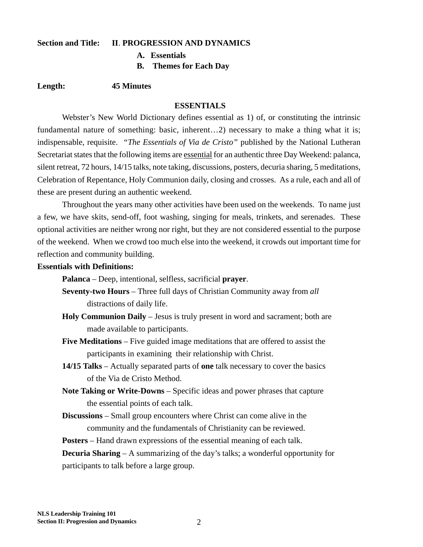#### **Section and Title: II**. **PROGRESSION AND DYNAMICS**

**A. Essentials**

**B. Themes for Each Day**

#### **Length: 45 Minutes**

#### **ESSENTIALS**

Webster's New World Dictionary defines essential as 1) of, or constituting the intrinsic fundamental nature of something: basic, inherent…2) necessary to make a thing what it is; indispensable, requisite. *"The Essentials of Via de Cristo"* published by the National Lutheran Secretariat states that the following items are essential for an authentic three Day Weekend: palanca, silent retreat, 72 hours, 14/15 talks, note taking, discussions, posters, decuria sharing, 5 meditations, Celebration of Repentance, Holy Communion daily, closing and crosses. As a rule, each and all of these are present during an authentic weekend.

Throughout the years many other activities have been used on the weekends. To name just a few, we have skits, send-off, foot washing, singing for meals, trinkets, and serenades. These optional activities are neither wrong nor right, but they are not considered essential to the purpose of the weekend. When we crowd too much else into the weekend, it crowds out important time for reflection and community building.

#### **Essentials with Definitions:**

**Palanca** – Deep, intentional, selfless, sacrificial **prayer**.

- **Seventy-two Hours**  Three full days of Christian Community away from *all* distractions of daily life.
- **Holy Communion Daily**  Jesus is truly present in word and sacrament; both are made available to participants.
- **Five Meditations**  Five guided image meditations that are offered to assist the participants in examining their relationship with Christ.
- **14/15 Talks**  Actually separated parts of **one** talk necessary to cover the basics of the Via de Cristo Method.
- **Note Taking or Write-Downs**  Specific ideas and power phrases that capture the essential points of each talk.
- **Discussions**  Small group encounters where Christ can come alive in the community and the fundamentals of Christianity can be reviewed.

**Posters** – Hand drawn expressions of the essential meaning of each talk.

**Decuria Sharing** – A summarizing of the day's talks; a wonderful opportunity for participants to talk before a large group.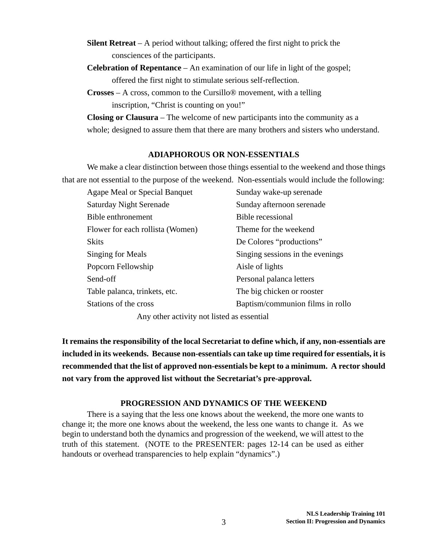- **Silent Retreat**  A period without talking; offered the first night to prick the consciences of the participants.
- **Celebration of Repentance**  An examination of our life in light of the gospel; offered the first night to stimulate serious self-reflection.
- **Crosses**  A cross, common to the Cursillo® movement, with a telling inscription, "Christ is counting on you!"

**Closing or Clausura** – The welcome of new participants into the community as a whole; designed to assure them that there are many brothers and sisters who understand.

#### **ADIAPHOROUS OR NON-ESSENTIALS**

We make a clear distinction between those things essential to the weekend and those things that are not essential to the purpose of the weekend. Non-essentials would include the following:

| Agape Meal or Special Banquet    | Sunday wake-up serenade          |
|----------------------------------|----------------------------------|
| <b>Saturday Night Serenade</b>   | Sunday afternoon serenade        |
| Bible enthronement               | Bible recessional                |
| Flower for each rollista (Women) | Theme for the weekend            |
| <b>Skits</b>                     | De Colores "productions"         |
| Singing for Meals                | Singing sessions in the evenings |
| Popcorn Fellowship               | Aisle of lights                  |
| Send-off                         | Personal palanca letters         |
| Table palanca, trinkets, etc.    | The big chicken or rooster       |
| Stations of the cross            | Baptism/communion films in rollo |
|                                  |                                  |

Any other activity not listed as essential

**It remains the responsibility of the local Secretariat to define which, if any, non-essentials are included in its weekends. Because non-essentials can take up time required for essentials, it is recommended that the list of approved non-essentials be kept to a minimum. A rector should not vary from the approved list without the Secretariat's pre-approval.**

#### **PROGRESSION AND DYNAMICS OF THE WEEKEND**

There is a saying that the less one knows about the weekend, the more one wants to change it; the more one knows about the weekend, the less one wants to change it. As we begin to understand both the dynamics and progression of the weekend, we will attest to the truth of this statement. (NOTE to the PRESENTER: pages 12-14 can be used as either handouts or overhead transparencies to help explain "dynamics".)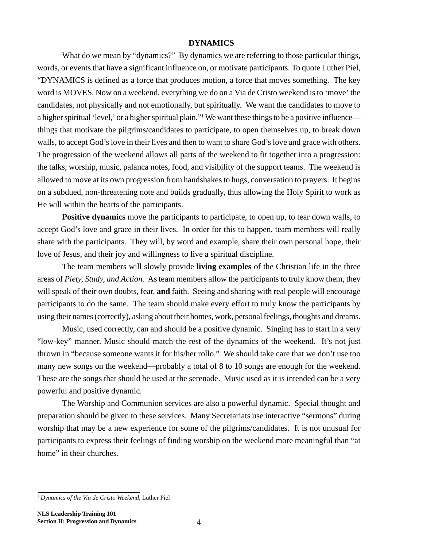#### **DYNAMICS**

What do we mean by "dynamics?" By dynamics we are referring to those particular things, words, or events that have a significant influence on, or motivate participants. To quote Luther Piel, "DYNAMICS is defined as a force that produces motion, a force that moves something. The key word is MOVES. Now on a weekend, everything we do on a Via de Cristo weekend is to 'move' the candidates, not physically and not emotionally, but spiritually. We want the candidates to move to a higher spiritual 'level,' or a higher spiritual plain."1 We want these things to be a positive influence things that motivate the pilgrims/candidates to participate, to open themselves up, to break down walls, to accept God's love in their lives and then to want to share God's love and grace with others. The progression of the weekend allows all parts of the weekend to fit together into a progression: the talks, worship, music, palanca notes, food, and visibility of the support teams. The weekend is allowed to move at its own progression from handshakes to hugs, conversation to prayers. It begins on a subdued, non-threatening note and builds gradually, thus allowing the Holy Spirit to work as He will within the hearts of the participants.

**Positive dynamics** move the participants to participate, to open up, to tear down walls, to accept God's love and grace in their lives. In order for this to happen, team members will really share with the participants. They will, by word and example, share their own personal hope, their love of Jesus, and their joy and willingness to live a spiritual discipline.

The team members will slowly provide **living examples** of the Christian life in the three areas of *Piety, Study, and Action.* As team members allow the participants to truly know them, they will speak of their own doubts, fear, **and** faith. Seeing and sharing with real people will encourage participants to do the same. The team should make every effort to truly know the participants by using their names (correctly), asking about their homes, work, personal feelings, thoughts and dreams.

Music, used correctly, can and should be a positive dynamic. Singing has to start in a very "low-key" manner. Music should match the rest of the dynamics of the weekend. It's not just thrown in "because someone wants it for his/her rollo." We should take care that we don't use too many new songs on the weekend—probably a total of 8 to 10 songs are enough for the weekend. These are the songs that should be used at the serenade. Music used as it is intended can be a very powerful and positive dynamic.

The Worship and Communion services are also a powerful dynamic. Special thought and preparation should be given to these services. Many Secretariats use interactive "sermons" during worship that may be a new experience for some of the pilgrims/candidates. It is not unusual for participants to express their feelings of finding worship on the weekend more meaningful than "at home" in their churches.

<sup>1</sup> *Dynamics of the Via de Cristo Weekend,* Luther Piel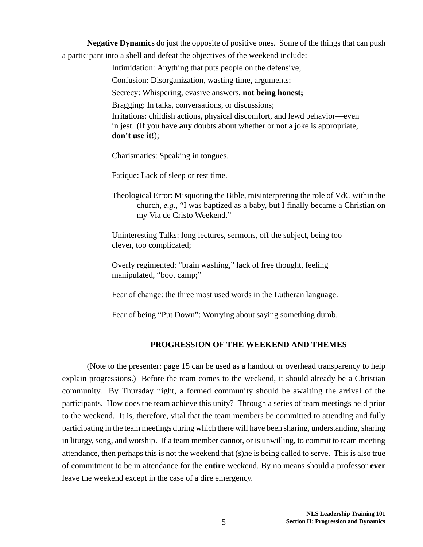**Negative Dynamics** do just the opposite of positive ones. Some of the things that can push a participant into a shell and defeat the objectives of the weekend include:

Intimidation: Anything that puts people on the defensive;

Confusion: Disorganization, wasting time, arguments;

Secrecy: Whispering, evasive answers, **not being honest;**

Bragging: In talks, conversations, or discussions;

Irritations: childish actions, physical discomfort, and lewd behavior—even in jest. (If you have **any** doubts about whether or not a joke is appropriate, **don't use it!**);

Charismatics: Speaking in tongues.

Fatique: Lack of sleep or rest time.

Theological Error: Misquoting the Bible, misinterpreting the role of VdC within the church, *e.g.,* "I was baptized as a baby, but I finally became a Christian on my Via de Cristo Weekend."

Uninteresting Talks: long lectures, sermons, off the subject, being too clever, too complicated;

Overly regimented: "brain washing," lack of free thought, feeling manipulated, "boot camp;"

Fear of change: the three most used words in the Lutheran language.

Fear of being "Put Down": Worrying about saying something dumb.

#### **PROGRESSION OF THE WEEKEND AND THEMES**

(Note to the presenter: page 15 can be used as a handout or overhead transparency to help explain progressions.) Before the team comes to the weekend, it should already be a Christian community. By Thursday night, a formed community should be awaiting the arrival of the participants. How does the team achieve this unity? Through a series of team meetings held prior to the weekend. It is, therefore, vital that the team members be committed to attending and fully participating in the team meetings during which there will have been sharing, understanding, sharing in liturgy, song, and worship. If a team member cannot, or is unwilling, to commit to team meeting attendance, then perhaps this is not the weekend that (s)he is being called to serve. This is also true of commitment to be in attendance for the **entire** weekend. By no means should a professor **ever** leave the weekend except in the case of a dire emergency.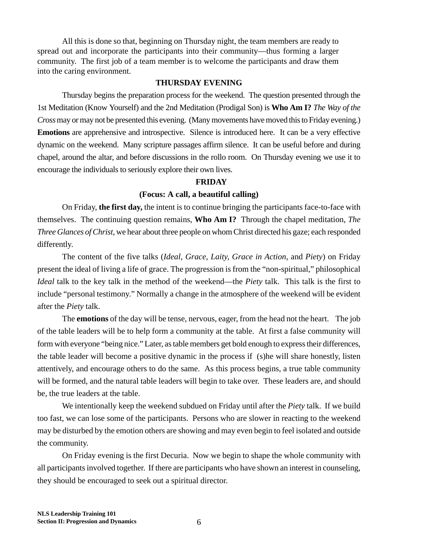All this is done so that, beginning on Thursday night, the team members are ready to spread out and incorporate the participants into their community—thus forming a larger community. The first job of a team member is to welcome the participants and draw them into the caring environment.

#### **THURSDAY EVENING**

Thursday begins the preparation process for the weekend. The question presented through the 1st Meditation (Know Yourself) and the 2nd Meditation (Prodigal Son) is **Who Am I?** *The Way of the Cross* may or may not be presented this evening. (Many movements have moved this to Friday evening.) **Emotions** are apprehensive and introspective. Silence is introduced here. It can be a very effective dynamic on the weekend. Many scripture passages affirm silence. It can be useful before and during chapel, around the altar, and before discussions in the rollo room. On Thursday evening we use it to encourage the individuals to seriously explore their own lives.

#### **FRIDAY**

#### **(Focus: A call, a beautiful calling)**

On Friday, **the first day,** the intent is to continue bringing the participants face-to-face with themselves. The continuing question remains, **Who Am I?** Through the chapel meditation, *The Three Glances of Christ,* we hear about three people on whom Christ directed his gaze; each responded differently.

The content of the five talks (*Ideal, Grace, Laity, Grace in Action*, and *Piety*) on Friday present the ideal of living a life of grace. The progression is from the "non-spiritual," philosophical *Ideal* talk to the key talk in the method of the weekend—the *Piety* talk. This talk is the first to include "personal testimony." Normally a change in the atmosphere of the weekend will be evident after the *Piety* talk.

The **emotions** of the day will be tense, nervous, eager, from the head not the heart. The job of the table leaders will be to help form a community at the table. At first a false community will form with everyone "being nice." Later, as table members get bold enough to express their differences, the table leader will become a positive dynamic in the process if (s)he will share honestly, listen attentively, and encourage others to do the same. As this process begins, a true table community will be formed, and the natural table leaders will begin to take over. These leaders are, and should be, the true leaders at the table.

We intentionally keep the weekend subdued on Friday until after the *Piety* talk. If we build too fast, we can lose some of the participants. Persons who are slower in reacting to the weekend may be disturbed by the emotion others are showing and may even begin to feel isolated and outside the community.

On Friday evening is the first Decuria. Now we begin to shape the whole community with all participants involved together. If there are participants who have shown an interest in counseling, they should be encouraged to seek out a spiritual director.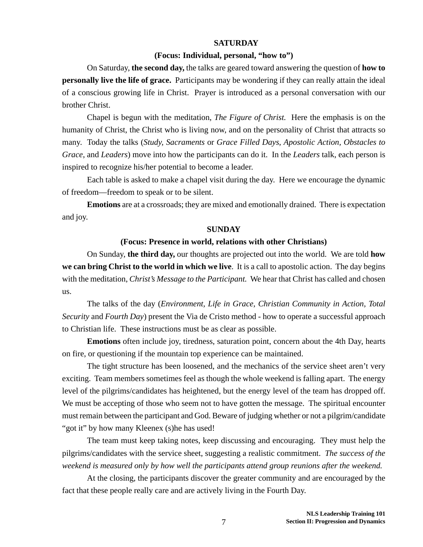#### **SATURDAY**

#### **(Focus: Individual, personal, "how to")**

On Saturday, **the second day,** the talks are geared toward answering the question of **how to personally live the life of grace.** Participants may be wondering if they can really attain the ideal of a conscious growing life in Christ. Prayer is introduced as a personal conversation with our brother Christ.

Chapel is begun with the meditation, *The Figure of Christ.* Here the emphasis is on the humanity of Christ, the Christ who is living now, and on the personality of Christ that attracts so many. Today the talks (*Study, Sacraments* or *Grace Filled Days*, *Apostolic Action, Obstacles to Grace*, and *Leaders*) move into how the participants can do it. In the *Leaders* talk, each person is inspired to recognize his/her potential to become a leader.

Each table is asked to make a chapel visit during the day. Here we encourage the dynamic of freedom—freedom to speak or to be silent.

**Emotions** are at a crossroads; they are mixed and emotionally drained. There is expectation and joy.

#### **SUNDAY**

#### **(Focus: Presence in world, relations with other Christians)**

On Sunday, **the third day,** our thoughts are projected out into the world. We are told **how we can bring Christ to the world in which we live**. It is a call to apostolic action. The day begins with the meditation, *Christ's Message to the Participant.* We hear that Christ has called and chosen us.

The talks of the day (*Environment, Life in Grace, Christian Community in Action, Total Security* and *Fourth Day*) present the Via de Cristo method - how to operate a successful approach to Christian life. These instructions must be as clear as possible.

**Emotions** often include joy, tiredness, saturation point, concern about the 4th Day, hearts on fire, or questioning if the mountain top experience can be maintained.

The tight structure has been loosened, and the mechanics of the service sheet aren't very exciting. Team members sometimes feel as though the whole weekend is falling apart. The energy level of the pilgrims/candidates has heightened, but the energy level of the team has dropped off. We must be accepting of those who seem not to have gotten the message. The spiritual encounter must remain between the participant and God. Beware of judging whether or not a pilgrim/candidate "got it" by how many Kleenex (s)he has used!

The team must keep taking notes, keep discussing and encouraging. They must help the pilgrims/candidates with the service sheet, suggesting a realistic commitment. *The success of the weekend is measured only by how well the participants attend group reunions after the weekend.*

At the closing, the participants discover the greater community and are encouraged by the fact that these people really care and are actively living in the Fourth Day.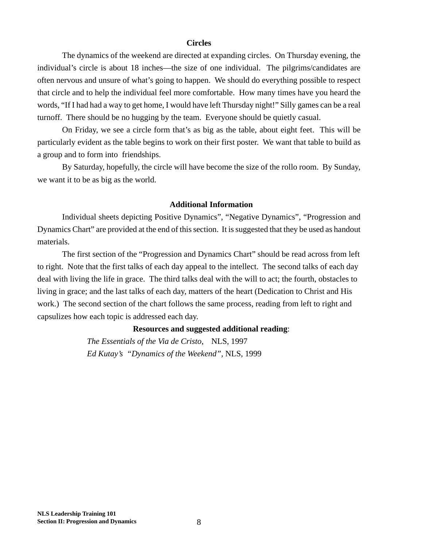#### **Circles**

The dynamics of the weekend are directed at expanding circles. On Thursday evening, the individual's circle is about 18 inches—the size of one individual. The pilgrims/candidates are often nervous and unsure of what's going to happen. We should do everything possible to respect that circle and to help the individual feel more comfortable. How many times have you heard the words, "If I had had a way to get home, I would have left Thursday night!" Silly games can be a real turnoff. There should be no hugging by the team. Everyone should be quietly casual.

On Friday, we see a circle form that's as big as the table, about eight feet. This will be particularly evident as the table begins to work on their first poster. We want that table to build as a group and to form into friendships.

By Saturday, hopefully, the circle will have become the size of the rollo room. By Sunday, we want it to be as big as the world.

#### **Additional Information**

Individual sheets depicting Positive Dynamics", "Negative Dynamics", "Progression and Dynamics Chart" are provided at the end of this section. It is suggested that they be used as handout materials.

The first section of the "Progression and Dynamics Chart" should be read across from left to right. Note that the first talks of each day appeal to the intellect. The second talks of each day deal with living the life in grace. The third talks deal with the will to act; the fourth, obstacles to living in grace; and the last talks of each day, matters of the heart (Dedication to Christ and His work.) The second section of the chart follows the same process, reading from left to right and capsulizes how each topic is addressed each day.

#### **Resources and suggested additional reading**:

*The Essentials of the Via de Cristo*, NLS, 1997 *Ed Kutay's "Dynamics of the Weekend",* NLS, 1999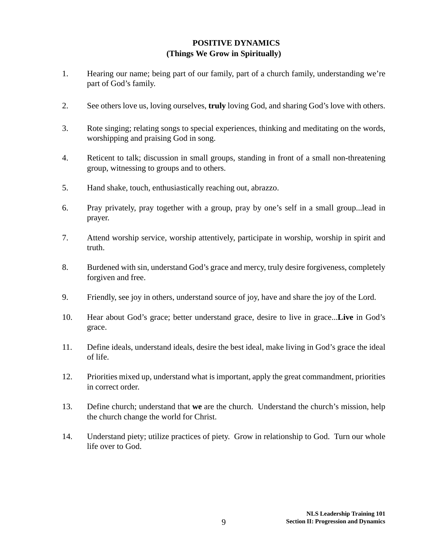#### **POSITIVE DYNAMICS (Things We Grow in Spiritually)**

- 1. Hearing our name; being part of our family, part of a church family, understanding we're part of God's family.
- 2. See others love us, loving ourselves, **truly** loving God, and sharing God's love with others.
- 3. Rote singing; relating songs to special experiences, thinking and meditating on the words, worshipping and praising God in song.
- 4. Reticent to talk; discussion in small groups, standing in front of a small non-threatening group, witnessing to groups and to others.
- 5. Hand shake, touch, enthusiastically reaching out, abrazzo.
- 6. Pray privately, pray together with a group, pray by one's self in a small group...lead in prayer.
- 7. Attend worship service, worship attentively, participate in worship, worship in spirit and truth.
- 8. Burdened with sin, understand God's grace and mercy, truly desire forgiveness, completely forgiven and free.
- 9. Friendly, see joy in others, understand source of joy, have and share the joy of the Lord.
- 10. Hear about God's grace; better understand grace, desire to live in grace...**Live** in God's grace.
- 11. Define ideals, understand ideals, desire the best ideal, make living in God's grace the ideal of life.
- 12. Priorities mixed up, understand what is important, apply the great commandment, priorities in correct order.
- 13. Define church; understand that **we** are the church. Understand the church's mission, help the church change the world for Christ.
- 14. Understand piety; utilize practices of piety. Grow in relationship to God. Turn our whole life over to God.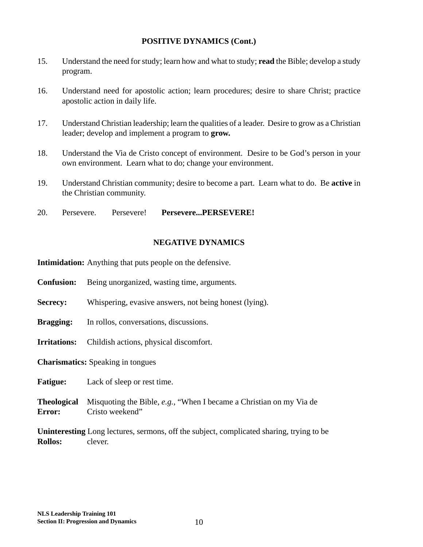#### **POSITIVE DYNAMICS (Cont.)**

- 15. Understand the need for study; learn how and what to study; **read** the Bible; develop a study program.
- 16. Understand need for apostolic action; learn procedures; desire to share Christ; practice apostolic action in daily life.
- 17. Understand Christian leadership; learn the qualities of a leader. Desire to grow as a Christian leader; develop and implement a program to **grow.**
- 18. Understand the Via de Cristo concept of environment. Desire to be God's person in your own environment. Learn what to do; change your environment.
- 19. Understand Christian community; desire to become a part. Learn what to do. Be **active** in the Christian community.
- 20. Persevere. Persevere! **Persevere...PERSEVERE!**

#### **NEGATIVE DYNAMICS**

**Intimidation:** Anything that puts people on the defensive.

- **Confusion:** Being unorganized, wasting time, arguments.
- **Secrecy:** Whispering, evasive answers, not being honest (lying).
- **Bragging:** In rollos, conversations, discussions.
- **Irritations:** Childish actions, physical discomfort.

**Charismatics:** Speaking in tongues

Fatigue: Lack of sleep or rest time.

**Theological** Misquoting the Bible, *e.g.,* "When I became a Christian on my Via de **Error:** Cristo weekend"

**Uninteresting** Long lectures, sermons, off the subject, complicated sharing, trying to be **Rollos:** clever.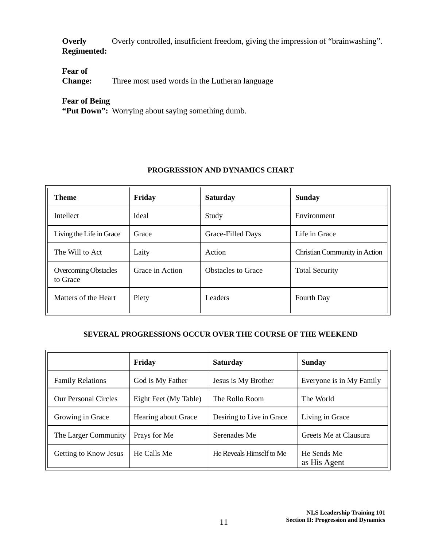**Overly** Overly controlled, insufficient freedom, giving the impression of "brainwashing". **Regimented:**

**Fear of**

**Change:** Three most used words in the Lutheran language

#### **Fear of Being**

**"Put Down":** Worrying about saying something dumb.

#### **PROGRESSION AND DYNAMICS CHART**

| <b>Theme</b>                            | Friday          | <b>Saturday</b>           | <b>Sunday</b>                 |
|-----------------------------------------|-----------------|---------------------------|-------------------------------|
| Intellect                               | Ideal           | Study                     | Environment                   |
| Living the Life in Grace                | Grace           | Grace-Filled Days         | Life in Grace                 |
| The Will to Act                         | Laity           | Action                    | Christian Community in Action |
| <b>Overcoming Obstacles</b><br>to Grace | Grace in Action | <b>Obstacles to Grace</b> | <b>Total Security</b>         |
| Matters of the Heart                    | Piety           | Leaders                   | Fourth Day                    |

#### **SEVERAL PROGRESSIONS OCCUR OVER THE COURSE OF THE WEEKEND**

|                             | Friday                | <b>Saturday</b>           | <b>Sunday</b>               |
|-----------------------------|-----------------------|---------------------------|-----------------------------|
| <b>Family Relations</b>     | God is My Father      | Jesus is My Brother       | Everyone is in My Family    |
| <b>Our Personal Circles</b> | Eight Feet (My Table) | The Rollo Room            | The World                   |
| Growing in Grace            | Hearing about Grace   | Desiring to Live in Grace | Living in Grace             |
| The Larger Community        | Prays for Me          | Serenades Me              | Greets Me at Clausura       |
| Getting to Know Jesus       | He Calls Me           | He Reveals Himself to Me  | He Sends Me<br>as His Agent |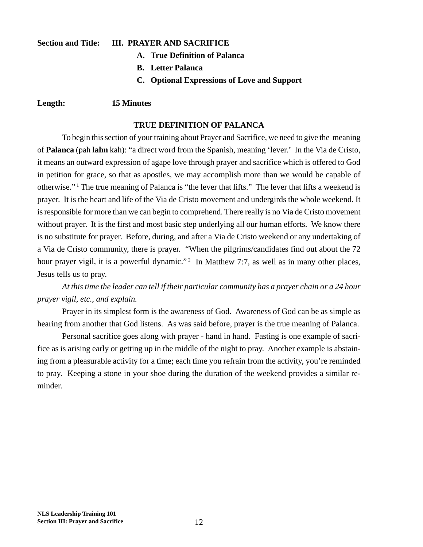#### **Section and Title: III. PRAYER AND SACRIFICE**

- **A. True Definition of Palanca**
- **B. Letter Palanca**
- **C. Optional Expressions of Love and Support**

#### **Length: 15 Minutes**

#### **TRUE DEFINITION OF PALANCA**

To begin this section of your training about Prayer and Sacrifice, we need to give the meaning of **Palanca** (pah **lahn** kah): "a direct word from the Spanish, meaning 'lever.' In the Via de Cristo, it means an outward expression of agape love through prayer and sacrifice which is offered to God in petition for grace, so that as apostles, we may accomplish more than we would be capable of otherwise."<sup>1</sup> The true meaning of Palanca is "the lever that lifts." The lever that lifts a weekend is prayer. It is the heart and life of the Via de Cristo movement and undergirds the whole weekend. It is responsible for more than we can begin to comprehend. There really is no Via de Cristo movement without prayer. It is the first and most basic step underlying all our human efforts. We know there is no substitute for prayer. Before, during, and after a Via de Cristo weekend or any undertaking of a Via de Cristo community, there is prayer. "When the pilgrims/candidates find out about the 72 hour prayer vigil, it is a powerful dynamic."<sup>2</sup> In Matthew 7:7, as well as in many other places, Jesus tells us to pray.

*At this time the leader can tell if their particular community has a prayer chain or a 24 hour prayer vigil, etc., and explain.*

Prayer in its simplest form is the awareness of God. Awareness of God can be as simple as hearing from another that God listens. As was said before, prayer is the true meaning of Palanca.

Personal sacrifice goes along with prayer - hand in hand. Fasting is one example of sacrifice as is arising early or getting up in the middle of the night to pray. Another example is abstaining from a pleasurable activity for a time; each time you refrain from the activity, you're reminded to pray. Keeping a stone in your shoe during the duration of the weekend provides a similar reminder.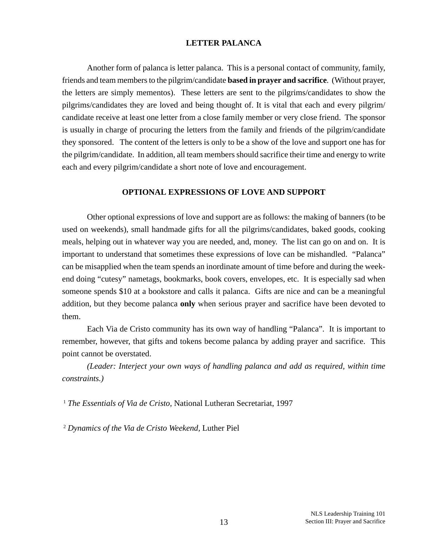#### **LETTER PALANCA**

Another form of palanca is letter palanca. This is a personal contact of community, family, friends and team members to the pilgrim/candidate **based in prayer and sacrifice**. (Without prayer, the letters are simply mementos). These letters are sent to the pilgrims/candidates to show the pilgrims/candidates they are loved and being thought of. It is vital that each and every pilgrim/ candidate receive at least one letter from a close family member or very close friend. The sponsor is usually in charge of procuring the letters from the family and friends of the pilgrim/candidate they sponsored. The content of the letters is only to be a show of the love and support one has for the pilgrim/candidate. In addition, all team members should sacrifice their time and energy to write each and every pilgrim/candidate a short note of love and encouragement.

#### **OPTIONAL EXPRESSIONS OF LOVE AND SUPPORT**

Other optional expressions of love and support are as follows: the making of banners (to be used on weekends), small handmade gifts for all the pilgrims/candidates, baked goods, cooking meals, helping out in whatever way you are needed, and, money. The list can go on and on. It is important to understand that sometimes these expressions of love can be mishandled. "Palanca" can be misapplied when the team spends an inordinate amount of time before and during the weekend doing "cutesy" nametags, bookmarks, book covers, envelopes, etc. It is especially sad when someone spends \$10 at a bookstore and calls it palanca. Gifts are nice and can be a meaningful addition, but they become palanca **only** when serious prayer and sacrifice have been devoted to them.

Each Via de Cristo community has its own way of handling "Palanca". It is important to remember, however, that gifts and tokens become palanca by adding prayer and sacrifice. This point cannot be overstated.

*(Leader: Interject your own ways of handling palanca and add as required, within time constraints.)*

<sup>1</sup> *The Essentials of Via de Cristo*, National Lutheran Secretariat, 1997

<sup>2</sup> *Dynamics of the Via de Cristo Weekend,* Luther Piel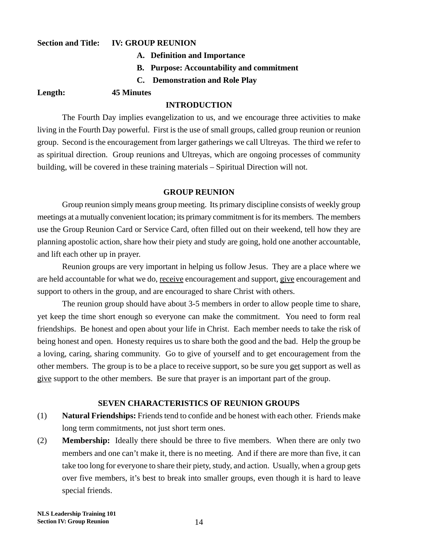#### **Section and Title: IV: GROUP REUNION**

- **A. Definition and Importance**
- **B. Purpose: Accountability and commitment**
- **C. Demonstration and Role Play**

#### **Length: 45 Minutes**

#### **INTRODUCTION**

The Fourth Day implies evangelization to us, and we encourage three activities to make living in the Fourth Day powerful. First is the use of small groups, called group reunion or reunion group. Second is the encouragement from larger gatherings we call Ultreyas. The third we refer to as spiritual direction. Group reunions and Ultreyas, which are ongoing processes of community building, will be covered in these training materials – Spiritual Direction will not.

#### **GROUP REUNION**

Group reunion simply means group meeting. Its primary discipline consists of weekly group meetings at a mutually convenient location; its primary commitment is for its members. The members use the Group Reunion Card or Service Card, often filled out on their weekend, tell how they are planning apostolic action, share how their piety and study are going, hold one another accountable, and lift each other up in prayer.

Reunion groups are very important in helping us follow Jesus. They are a place where we are held accountable for what we do, receive encouragement and support, give encouragement and support to others in the group, and are encouraged to share Christ with others.

The reunion group should have about 3-5 members in order to allow people time to share, yet keep the time short enough so everyone can make the commitment. You need to form real friendships. Be honest and open about your life in Christ. Each member needs to take the risk of being honest and open. Honesty requires us to share both the good and the bad. Help the group be a loving, caring, sharing community. Go to give of yourself and to get encouragement from the other members. The group is to be a place to receive support, so be sure you get support as well as give support to the other members. Be sure that prayer is an important part of the group.

#### **SEVEN CHARACTERISTICS OF REUNION GROUPS**

- (1) **Natural Friendships:** Friends tend to confide and be honest with each other. Friends make long term commitments, not just short term ones.
- (2) **Membership:** Ideally there should be three to five members. When there are only two members and one can't make it, there is no meeting. And if there are more than five, it can take too long for everyone to share their piety, study, and action. Usually, when a group gets over five members, it's best to break into smaller groups, even though it is hard to leave special friends.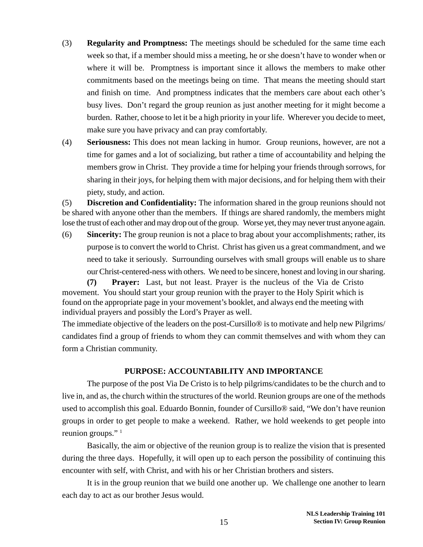- (3) **Regularity and Promptness:** The meetings should be scheduled for the same time each week so that, if a member should miss a meeting, he or she doesn't have to wonder when or where it will be. Promptness is important since it allows the members to make other commitments based on the meetings being on time. That means the meeting should start and finish on time. And promptness indicates that the members care about each other's busy lives. Don't regard the group reunion as just another meeting for it might become a burden. Rather, choose to let it be a high priority in your life. Wherever you decide to meet, make sure you have privacy and can pray comfortably.
- (4) **Seriousness:** This does not mean lacking in humor. Group reunions, however, are not a time for games and a lot of socializing, but rather a time of accountability and helping the members grow in Christ. They provide a time for helping your friends through sorrows, for sharing in their joys, for helping them with major decisions, and for helping them with their piety, study, and action.

(5) **Discretion and Confidentiality:** The information shared in the group reunions should not be shared with anyone other than the members. If things are shared randomly, the members might lose the trust of each other and may drop out of the group. Worse yet, they may never trust anyone again.

(6) **Sincerity:** The group reunion is not a place to brag about your accomplishments; rather, its purpose is to convert the world to Christ. Christ has given us a great commandment, and we need to take it seriously. Surrounding ourselves with small groups will enable us to share our Christ-centered-ness with others. We need to be sincere, honest and loving in our sharing.

**(7) Prayer:** Last, but not least. Prayer is the nucleus of the Via de Cristo movement. You should start your group reunion with the prayer to the Holy Spirit which is found on the appropriate page in your movement's booklet, and always end the meeting with individual prayers and possibly the Lord's Prayer as well.

The immediate objective of the leaders on the post-Cursillo® is to motivate and help new Pilgrims/ candidates find a group of friends to whom they can commit themselves and with whom they can form a Christian community.

#### **PURPOSE: ACCOUNTABILITY AND IMPORTANCE**

The purpose of the post Via De Cristo is to help pilgrims/candidates to be the church and to live in, and as, the church within the structures of the world. Reunion groups are one of the methods used to accomplish this goal. Eduardo Bonnin, founder of Cursillo® said, "We don't have reunion groups in order to get people to make a weekend. Rather, we hold weekends to get people into reunion groups."<sup>1</sup>

Basically, the aim or objective of the reunion group is to realize the vision that is presented during the three days. Hopefully, it will open up to each person the possibility of continuing this encounter with self, with Christ, and with his or her Christian brothers and sisters.

It is in the group reunion that we build one another up. We challenge one another to learn each day to act as our brother Jesus would.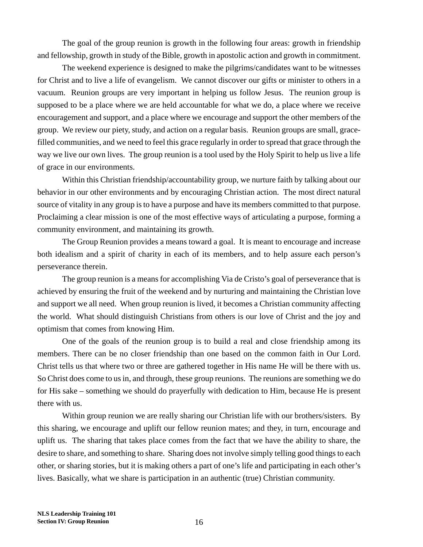The goal of the group reunion is growth in the following four areas: growth in friendship and fellowship, growth in study of the Bible, growth in apostolic action and growth in commitment.

The weekend experience is designed to make the pilgrims/candidates want to be witnesses for Christ and to live a life of evangelism. We cannot discover our gifts or minister to others in a vacuum. Reunion groups are very important in helping us follow Jesus. The reunion group is supposed to be a place where we are held accountable for what we do, a place where we receive encouragement and support, and a place where we encourage and support the other members of the group. We review our piety, study, and action on a regular basis. Reunion groups are small, gracefilled communities, and we need to feel this grace regularly in order to spread that grace through the way we live our own lives. The group reunion is a tool used by the Holy Spirit to help us live a life of grace in our environments.

Within this Christian friendship/accountability group, we nurture faith by talking about our behavior in our other environments and by encouraging Christian action. The most direct natural source of vitality in any group is to have a purpose and have its members committed to that purpose. Proclaiming a clear mission is one of the most effective ways of articulating a purpose, forming a community environment, and maintaining its growth.

The Group Reunion provides a means toward a goal. It is meant to encourage and increase both idealism and a spirit of charity in each of its members, and to help assure each person's perseverance therein.

The group reunion is a means for accomplishing Via de Cristo's goal of perseverance that is achieved by ensuring the fruit of the weekend and by nurturing and maintaining the Christian love and support we all need. When group reunion is lived, it becomes a Christian community affecting the world. What should distinguish Christians from others is our love of Christ and the joy and optimism that comes from knowing Him.

One of the goals of the reunion group is to build a real and close friendship among its members. There can be no closer friendship than one based on the common faith in Our Lord. Christ tells us that where two or three are gathered together in His name He will be there with us. So Christ does come to us in, and through, these group reunions. The reunions are something we do for His sake – something we should do prayerfully with dedication to Him, because He is present there with us.

Within group reunion we are really sharing our Christian life with our brothers/sisters. By this sharing, we encourage and uplift our fellow reunion mates; and they, in turn, encourage and uplift us. The sharing that takes place comes from the fact that we have the ability to share, the desire to share, and something to share. Sharing does not involve simply telling good things to each other, or sharing stories, but it is making others a part of one's life and participating in each other's lives. Basically, what we share is participation in an authentic (true) Christian community.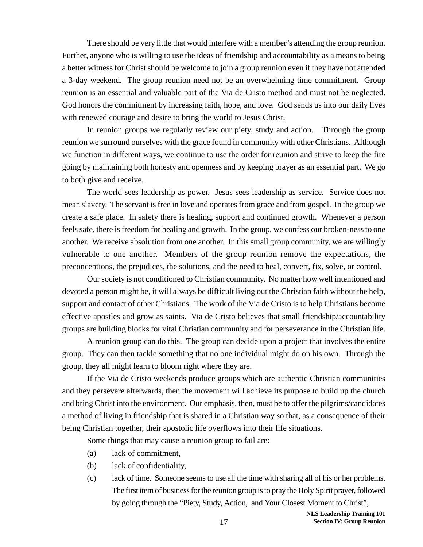There should be very little that would interfere with a member's attending the group reunion. Further, anyone who is willing to use the ideas of friendship and accountability as a means to being a better witness for Christ should be welcome to join a group reunion even if they have not attended a 3-day weekend. The group reunion need not be an overwhelming time commitment. Group reunion is an essential and valuable part of the Via de Cristo method and must not be neglected. God honors the commitment by increasing faith, hope, and love. God sends us into our daily lives with renewed courage and desire to bring the world to Jesus Christ.

In reunion groups we regularly review our piety, study and action. Through the group reunion we surround ourselves with the grace found in community with other Christians. Although we function in different ways, we continue to use the order for reunion and strive to keep the fire going by maintaining both honesty and openness and by keeping prayer as an essential part. We go to both give and receive.

The world sees leadership as power. Jesus sees leadership as service. Service does not mean slavery. The servant is free in love and operates from grace and from gospel. In the group we create a safe place. In safety there is healing, support and continued growth. Whenever a person feels safe, there is freedom for healing and growth. In the group, we confess our broken-ness to one another. We receive absolution from one another. In this small group community, we are willingly vulnerable to one another. Members of the group reunion remove the expectations, the preconceptions, the prejudices, the solutions, and the need to heal, convert, fix, solve, or control.

Our society is not conditioned to Christian community. No matter how well intentioned and devoted a person might be, it will always be difficult living out the Christian faith without the help, support and contact of other Christians. The work of the Via de Cristo is to help Christians become effective apostles and grow as saints. Via de Cristo believes that small friendship/accountability groups are building blocks for vital Christian community and for perseverance in the Christian life.

A reunion group can do this. The group can decide upon a project that involves the entire group. They can then tackle something that no one individual might do on his own. Through the group, they all might learn to bloom right where they are.

If the Via de Cristo weekends produce groups which are authentic Christian communities and they persevere afterwards, then the movement will achieve its purpose to build up the church and bring Christ into the environment. Our emphasis, then, must be to offer the pilgrims/candidates a method of living in friendship that is shared in a Christian way so that, as a consequence of their being Christian together, their apostolic life overflows into their life situations.

Some things that may cause a reunion group to fail are:

- (a) lack of commitment,
- (b) lack of confidentiality,
- (c) lack of time. Someone seems to use all the time with sharing all of his or her problems. The first item of business for the reunion group is to pray the Holy Spirit prayer, followed by going through the "Piety, Study, Action, and Your Closest Moment to Christ",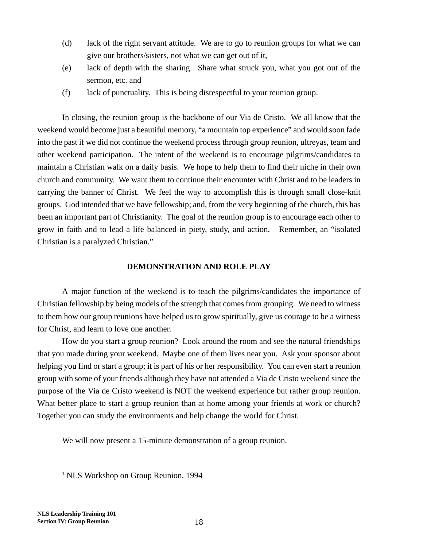- (d) lack of the right servant attitude. We are to go to reunion groups for what we can give our brothers/sisters, not what we can get out of it,
- (e) lack of depth with the sharing. Share what struck you, what you got out of the sermon, etc. and
- (f) lack of punctuality. This is being disrespectful to your reunion group.

In closing, the reunion group is the backbone of our Via de Cristo. We all know that the weekend would become just a beautiful memory, "a mountain top experience" and would soon fade into the past if we did not continue the weekend process through group reunion, ultreyas, team and other weekend participation. The intent of the weekend is to encourage pilgrims/candidates to maintain a Christian walk on a daily basis. We hope to help them to find their niche in their own church and community. We want them to continue their encounter with Christ and to be leaders in carrying the banner of Christ. We feel the way to accomplish this is through small close-knit groups. God intended that we have fellowship; and, from the very beginning of the church, this has been an important part of Christianity. The goal of the reunion group is to encourage each other to grow in faith and to lead a life balanced in piety, study, and action. Remember, an "isolated Christian is a paralyzed Christian."

#### **DEMONSTRATION AND ROLE PLAY**

A major function of the weekend is to teach the pilgrims/candidates the importance of Christian fellowship by being models of the strength that comes from grouping. We need to witness to them how our group reunions have helped us to grow spiritually, give us courage to be a witness for Christ, and learn to love one another.

How do you start a group reunion? Look around the room and see the natural friendships that you made during your weekend. Maybe one of them lives near you. Ask your sponsor about helping you find or start a group; it is part of his or her responsibility. You can even start a reunion group with some of your friends although they have not attended a Via de Cristo weekend since the purpose of the Via de Cristo weekend is NOT the weekend experience but rather group reunion. What better place to start a group reunion than at home among your friends at work or church? Together you can study the environments and help change the world for Christ.

We will now present a 15-minute demonstration of a group reunion.

<sup>1</sup> NLS Workshop on Group Reunion, 1994

**NLS Leadership Training 101 Section IV: Group Reunion**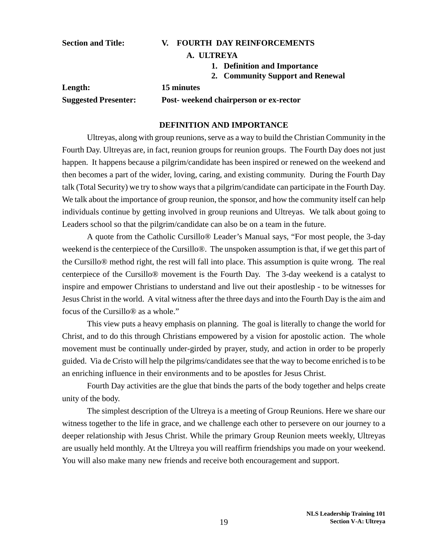#### **Section and Title: V. FOURTH DAY REINFORCEMENTS**

#### **A. ULTREYA**

- **1. Definition and Importance**
- **2. Community Support and Renewal**

| Length:                     | 15 minutes                            |
|-----------------------------|---------------------------------------|
| <b>Suggested Presenter:</b> | Post-weekend chairperson or ex-rector |

#### **DEFINITION AND IMPORTANCE**

Ultreyas, along with group reunions, serve as a way to build the Christian Community in the Fourth Day. Ultreyas are, in fact, reunion groups for reunion groups. The Fourth Day does not just happen. It happens because a pilgrim/candidate has been inspired or renewed on the weekend and then becomes a part of the wider, loving, caring, and existing community. During the Fourth Day talk (Total Security) we try to show ways that a pilgrim/candidate can participate in the Fourth Day. We talk about the importance of group reunion, the sponsor, and how the community itself can help individuals continue by getting involved in group reunions and Ultreyas. We talk about going to Leaders school so that the pilgrim/candidate can also be on a team in the future.

A quote from the Catholic Cursillo® Leader's Manual says, "For most people, the 3-day weekend is the centerpiece of the Cursillo®. The unspoken assumption is that, if we get this part of the Cursillo® method right, the rest will fall into place. This assumption is quite wrong. The real centerpiece of the Cursillo® movement is the Fourth Day. The 3-day weekend is a catalyst to inspire and empower Christians to understand and live out their apostleship - to be witnesses for Jesus Christ in the world. A vital witness after the three days and into the Fourth Day is the aim and focus of the Cursillo® as a whole."

This view puts a heavy emphasis on planning. The goal is literally to change the world for Christ, and to do this through Christians empowered by a vision for apostolic action. The whole movement must be continually under-girded by prayer, study, and action in order to be properly guided. Via de Cristo will help the pilgrims/candidates see that the way to become enriched is to be an enriching influence in their environments and to be apostles for Jesus Christ.

Fourth Day activities are the glue that binds the parts of the body together and helps create unity of the body.

The simplest description of the Ultreya is a meeting of Group Reunions. Here we share our witness together to the life in grace, and we challenge each other to persevere on our journey to a deeper relationship with Jesus Christ. While the primary Group Reunion meets weekly, Ultreyas are usually held monthly. At the Ultreya you will reaffirm friendships you made on your weekend. You will also make many new friends and receive both encouragement and support.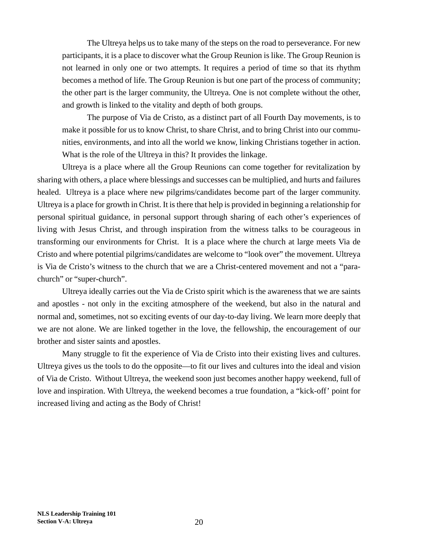The Ultreya helps us to take many of the steps on the road to perseverance. For new participants, it is a place to discover what the Group Reunion is like. The Group Reunion is not learned in only one or two attempts. It requires a period of time so that its rhythm becomes a method of life. The Group Reunion is but one part of the process of community; the other part is the larger community, the Ultreya. One is not complete without the other, and growth is linked to the vitality and depth of both groups.

The purpose of Via de Cristo, as a distinct part of all Fourth Day movements, is to make it possible for us to know Christ, to share Christ, and to bring Christ into our communities, environments, and into all the world we know, linking Christians together in action. What is the role of the Ultreya in this? It provides the linkage.

Ultreya is a place where all the Group Reunions can come together for revitalization by sharing with others, a place where blessings and successes can be multiplied, and hurts and failures healed. Ultreya is a place where new pilgrims/candidates become part of the larger community. Ultreya is a place for growth in Christ. It is there that help is provided in beginning a relationship for personal spiritual guidance, in personal support through sharing of each other's experiences of living with Jesus Christ, and through inspiration from the witness talks to be courageous in transforming our environments for Christ. It is a place where the church at large meets Via de Cristo and where potential pilgrims/candidates are welcome to "look over" the movement. Ultreya is Via de Cristo's witness to the church that we are a Christ-centered movement and not a "parachurch" or "super-church".

Ultreya ideally carries out the Via de Cristo spirit which is the awareness that we are saints and apostles - not only in the exciting atmosphere of the weekend, but also in the natural and normal and, sometimes, not so exciting events of our day-to-day living. We learn more deeply that we are not alone. We are linked together in the love, the fellowship, the encouragement of our brother and sister saints and apostles.

Many struggle to fit the experience of Via de Cristo into their existing lives and cultures. Ultreya gives us the tools to do the opposite—to fit our lives and cultures into the ideal and vision of Via de Cristo. Without Ultreya, the weekend soon just becomes another happy weekend, full of love and inspiration. With Ultreya, the weekend becomes a true foundation, a "kick-off' point for increased living and acting as the Body of Christ!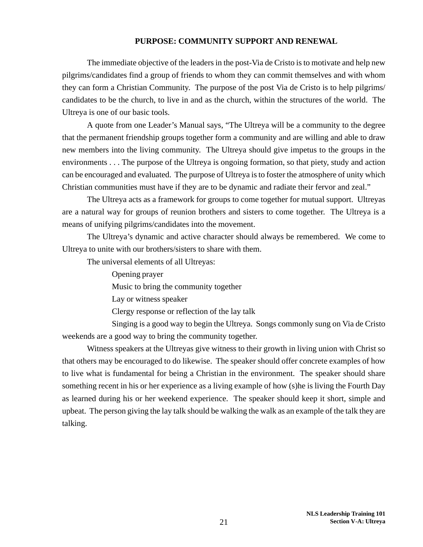#### **PURPOSE: COMMUNITY SUPPORT AND RENEWAL**

The immediate objective of the leaders in the post-Via de Cristo is to motivate and help new pilgrims/candidates find a group of friends to whom they can commit themselves and with whom they can form a Christian Community. The purpose of the post Via de Cristo is to help pilgrims/ candidates to be the church, to live in and as the church, within the structures of the world. The Ultreya is one of our basic tools.

A quote from one Leader's Manual says, "The Ultreya will be a community to the degree that the permanent friendship groups together form a community and are willing and able to draw new members into the living community. The Ultreya should give impetus to the groups in the environments . . . The purpose of the Ultreya is ongoing formation, so that piety, study and action can be encouraged and evaluated. The purpose of Ultreya is to foster the atmosphere of unity which Christian communities must have if they are to be dynamic and radiate their fervor and zeal."

The Ultreya acts as a framework for groups to come together for mutual support. Ultreyas are a natural way for groups of reunion brothers and sisters to come together. The Ultreya is a means of unifying pilgrims/candidates into the movement.

The Ultreya's dynamic and active character should always be remembered. We come to Ultreya to unite with our brothers/sisters to share with them.

The universal elements of all Ultreyas:

Opening prayer

Music to bring the community together

Lay or witness speaker

Clergy response or reflection of the lay talk

Singing is a good way to begin the Ultreya. Songs commonly sung on Via de Cristo weekends are a good way to bring the community together.

Witness speakers at the Ultreyas give witness to their growth in living union with Christ so that others may be encouraged to do likewise. The speaker should offer concrete examples of how to live what is fundamental for being a Christian in the environment. The speaker should share something recent in his or her experience as a living example of how (s)he is living the Fourth Day as learned during his or her weekend experience. The speaker should keep it short, simple and upbeat. The person giving the lay talk should be walking the walk as an example of the talk they are talking.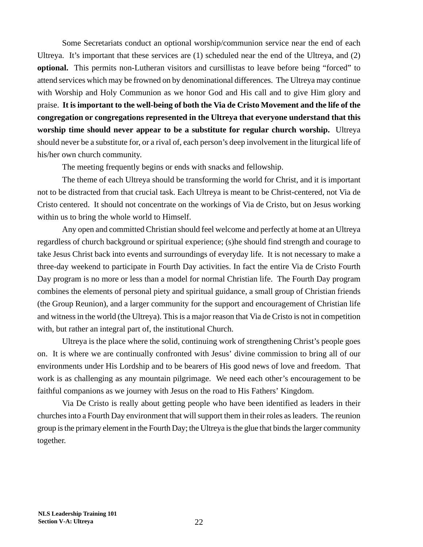Some Secretariats conduct an optional worship/communion service near the end of each Ultreya. It's important that these services are (1) scheduled near the end of the Ultreya, and (2) **optional.** This permits non-Lutheran visitors and cursillistas to leave before being "forced" to attend services which may be frowned on by denominational differences. The Ultreya may continue with Worship and Holy Communion as we honor God and His call and to give Him glory and praise. **It is important to the well-being of both the Via de Cristo Movement and the life of the congregation or congregations represented in the Ultreya that everyone understand that this worship time should never appear to be a substitute for regular church worship.** Ultreya should never be a substitute for, or a rival of, each person's deep involvement in the liturgical life of his/her own church community.

The meeting frequently begins or ends with snacks and fellowship.

The theme of each Ultreya should be transforming the world for Christ, and it is important not to be distracted from that crucial task. Each Ultreya is meant to be Christ-centered, not Via de Cristo centered. It should not concentrate on the workings of Via de Cristo, but on Jesus working within us to bring the whole world to Himself.

Any open and committed Christian should feel welcome and perfectly at home at an Ultreya regardless of church background or spiritual experience; (s)he should find strength and courage to take Jesus Christ back into events and surroundings of everyday life. It is not necessary to make a three-day weekend to participate in Fourth Day activities. In fact the entire Via de Cristo Fourth Day program is no more or less than a model for normal Christian life. The Fourth Day program combines the elements of personal piety and spiritual guidance, a small group of Christian friends (the Group Reunion), and a larger community for the support and encouragement of Christian life and witness in the world (the Ultreya). This is a major reason that Via de Cristo is not in competition with, but rather an integral part of, the institutional Church.

Ultreya is the place where the solid, continuing work of strengthening Christ's people goes on. It is where we are continually confronted with Jesus' divine commission to bring all of our environments under His Lordship and to be bearers of His good news of love and freedom. That work is as challenging as any mountain pilgrimage. We need each other's encouragement to be faithful companions as we journey with Jesus on the road to His Fathers' Kingdom.

Via De Cristo is really about getting people who have been identified as leaders in their churches into a Fourth Day environment that will support them in their roles as leaders. The reunion group is the primary element in the Fourth Day; the Ultreya is the glue that binds the larger community together.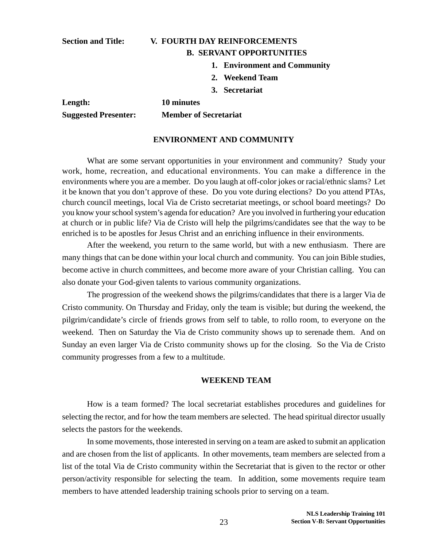#### **Section and Title: V. FOURTH DAY REINFORCEMENTS B. SERVANT OPPORTUNITIES**

- **1. Environment and Community**
- **2. Weekend Team**
- **3. Secretariat**

**Length: 10 minutes Suggested Presenter: Member of Secretariat**

#### **ENVIRONMENT AND COMMUNITY**

What are some servant opportunities in your environment and community? Study your work, home, recreation, and educational environments. You can make a difference in the environments where you are a member. Do you laugh at off-color jokes or racial/ethnic slams? Let it be known that you don't approve of these. Do you vote during elections? Do you attend PTAs, church council meetings, local Via de Cristo secretariat meetings, or school board meetings? Do you know your school system's agenda for education? Are you involved in furthering your education at church or in public life? Via de Cristo will help the pilgrims/candidates see that the way to be enriched is to be apostles for Jesus Christ and an enriching influence in their environments.

After the weekend, you return to the same world, but with a new enthusiasm. There are many things that can be done within your local church and community. You can join Bible studies, become active in church committees, and become more aware of your Christian calling. You can also donate your God-given talents to various community organizations.

The progression of the weekend shows the pilgrims/candidates that there is a larger Via de Cristo community. On Thursday and Friday, only the team is visible; but during the weekend, the pilgrim/candidate's circle of friends grows from self to table, to rollo room, to everyone on the weekend. Then on Saturday the Via de Cristo community shows up to serenade them. And on Sunday an even larger Via de Cristo community shows up for the closing. So the Via de Cristo community progresses from a few to a multitude.

#### **WEEKEND TEAM**

How is a team formed? The local secretariat establishes procedures and guidelines for selecting the rector, and for how the team members are selected. The head spiritual director usually selects the pastors for the weekends.

In some movements, those interested in serving on a team are asked to submit an application and are chosen from the list of applicants. In other movements, team members are selected from a list of the total Via de Cristo community within the Secretariat that is given to the rector or other person/activity responsible for selecting the team. In addition, some movements require team members to have attended leadership training schools prior to serving on a team.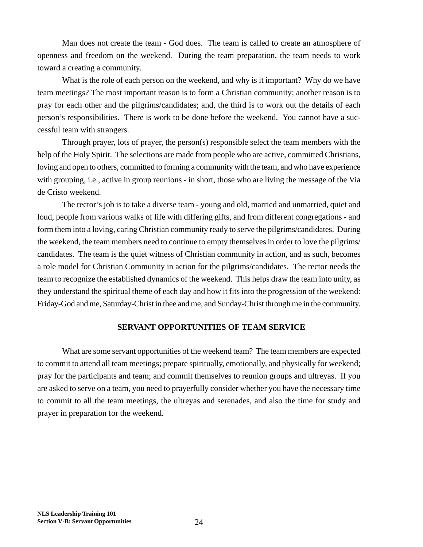Man does not create the team - God does. The team is called to create an atmosphere of openness and freedom on the weekend. During the team preparation, the team needs to work toward a creating a community.

What is the role of each person on the weekend, and why is it important? Why do we have team meetings? The most important reason is to form a Christian community; another reason is to pray for each other and the pilgrims/candidates; and, the third is to work out the details of each person's responsibilities. There is work to be done before the weekend. You cannot have a successful team with strangers.

Through prayer, lots of prayer, the person(s) responsible select the team members with the help of the Holy Spirit. The selections are made from people who are active, committed Christians, loving and open to others, committed to forming a community with the team, and who have experience with grouping, i.e., active in group reunions - in short, those who are living the message of the Via de Cristo weekend.

The rector's job is to take a diverse team - young and old, married and unmarried, quiet and loud, people from various walks of life with differing gifts, and from different congregations - and form them into a loving, caring Christian community ready to serve the pilgrims/candidates. During the weekend, the team members need to continue to empty themselves in order to love the pilgrims/ candidates. The team is the quiet witness of Christian community in action, and as such, becomes a role model for Christian Community in action for the pilgrims/candidates. The rector needs the team to recognize the established dynamics of the weekend. This helps draw the team into unity, as they understand the spiritual theme of each day and how it fits into the progression of the weekend: Friday-God and me, Saturday-Christ in thee and me, and Sunday-Christ through me in the community.

#### **SERVANT OPPORTUNITIES OF TEAM SERVICE**

What are some servant opportunities of the weekend team? The team members are expected to commit to attend all team meetings; prepare spiritually, emotionally, and physically for weekend; pray for the participants and team; and commit themselves to reunion groups and ultreyas. If you are asked to serve on a team, you need to prayerfully consider whether you have the necessary time to commit to all the team meetings, the ultreyas and serenades, and also the time for study and prayer in preparation for the weekend.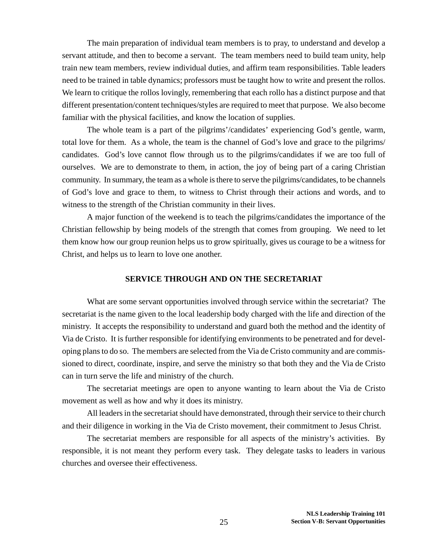The main preparation of individual team members is to pray, to understand and develop a servant attitude, and then to become a servant. The team members need to build team unity, help train new team members, review individual duties, and affirm team responsibilities. Table leaders need to be trained in table dynamics; professors must be taught how to write and present the rollos. We learn to critique the rollos lovingly, remembering that each rollo has a distinct purpose and that different presentation/content techniques/styles are required to meet that purpose. We also become familiar with the physical facilities, and know the location of supplies.

The whole team is a part of the pilgrims'/candidates' experiencing God's gentle, warm, total love for them. As a whole, the team is the channel of God's love and grace to the pilgrims/ candidates. God's love cannot flow through us to the pilgrims/candidates if we are too full of ourselves. We are to demonstrate to them, in action, the joy of being part of a caring Christian community. In summary, the team as a whole is there to serve the pilgrims/candidates, to be channels of God's love and grace to them, to witness to Christ through their actions and words, and to witness to the strength of the Christian community in their lives.

A major function of the weekend is to teach the pilgrims/candidates the importance of the Christian fellowship by being models of the strength that comes from grouping. We need to let them know how our group reunion helps us to grow spiritually, gives us courage to be a witness for Christ, and helps us to learn to love one another.

#### **SERVICE THROUGH AND ON THE SECRETARIAT**

What are some servant opportunities involved through service within the secretariat? The secretariat is the name given to the local leadership body charged with the life and direction of the ministry. It accepts the responsibility to understand and guard both the method and the identity of Via de Cristo. It is further responsible for identifying environments to be penetrated and for developing plans to do so. The members are selected from the Via de Cristo community and are commissioned to direct, coordinate, inspire, and serve the ministry so that both they and the Via de Cristo can in turn serve the life and ministry of the church.

The secretariat meetings are open to anyone wanting to learn about the Via de Cristo movement as well as how and why it does its ministry.

All leaders in the secretariat should have demonstrated, through their service to their church and their diligence in working in the Via de Cristo movement, their commitment to Jesus Christ.

The secretariat members are responsible for all aspects of the ministry's activities. By responsible, it is not meant they perform every task. They delegate tasks to leaders in various churches and oversee their effectiveness.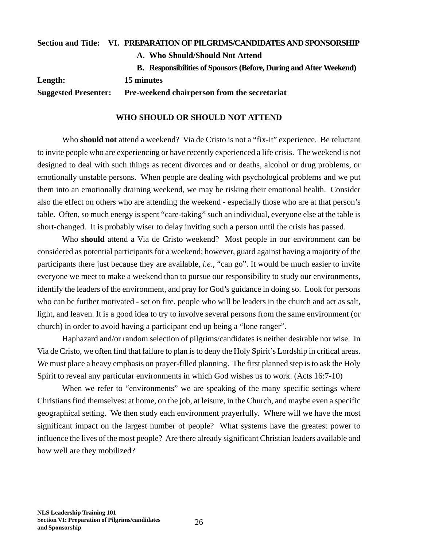|                             | Section and Title: VI. PREPARATION OF PILGRIMS/CANDIDATES AND SPONSORSHIP |
|-----------------------------|---------------------------------------------------------------------------|
|                             | A. Who Should/Should Not Attend                                           |
|                             | B. Responsibilities of Sponsors (Before, During and After Weekend)        |
| Length:                     | 15 minutes                                                                |
| <b>Suggested Presenter:</b> | Pre-weekend chairperson from the secretariat                              |

#### **WHO SHOULD OR SHOULD NOT ATTEND**

Who **should not** attend a weekend? Via de Cristo is not a "fix-it" experience. Be reluctant to invite people who are experiencing or have recently experienced a life crisis. The weekend is not designed to deal with such things as recent divorces and or deaths, alcohol or drug problems, or emotionally unstable persons. When people are dealing with psychological problems and we put them into an emotionally draining weekend, we may be risking their emotional health. Consider also the effect on others who are attending the weekend - especially those who are at that person's table. Often, so much energy is spent "care-taking" such an individual, everyone else at the table is short-changed. It is probably wiser to delay inviting such a person until the crisis has passed.

Who **should** attend a Via de Cristo weekend? Most people in our environment can be considered as potential participants for a weekend; however, guard against having a majority of the participants there just because they are available, *i.e*., "can go". It would be much easier to invite everyone we meet to make a weekend than to pursue our responsibility to study our environments, identify the leaders of the environment, and pray for God's guidance in doing so. Look for persons who can be further motivated - set on fire, people who will be leaders in the church and act as salt, light, and leaven. It is a good idea to try to involve several persons from the same environment (or church) in order to avoid having a participant end up being a "lone ranger".

Haphazard and/or random selection of pilgrims/candidates is neither desirable nor wise. In Via de Cristo, we often find that failure to plan is to deny the Holy Spirit's Lordship in critical areas. We must place a heavy emphasis on prayer-filled planning. The first planned step is to ask the Holy Spirit to reveal any particular environments in which God wishes us to work. (Acts 16:7-10)

When we refer to "environments" we are speaking of the many specific settings where Christians find themselves: at home, on the job, at leisure, in the Church, and maybe even a specific geographical setting. We then study each environment prayerfully. Where will we have the most significant impact on the largest number of people? What systems have the greatest power to influence the lives of the most people? Are there already significant Christian leaders available and how well are they mobilized?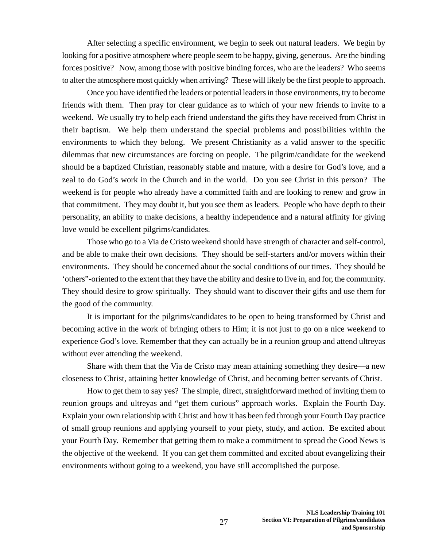After selecting a specific environment, we begin to seek out natural leaders. We begin by looking for a positive atmosphere where people seem to be happy, giving, generous. Are the binding forces positive? Now, among those with positive binding forces, who are the leaders? Who seems to alter the atmosphere most quickly when arriving? These will likely be the first people to approach.

Once you have identified the leaders or potential leaders in those environments, try to become friends with them. Then pray for clear guidance as to which of your new friends to invite to a weekend. We usually try to help each friend understand the gifts they have received from Christ in their baptism. We help them understand the special problems and possibilities within the environments to which they belong. We present Christianity as a valid answer to the specific dilemmas that new circumstances are forcing on people. The pilgrim/candidate for the weekend should be a baptized Christian, reasonably stable and mature, with a desire for God's love, and a zeal to do God's work in the Church and in the world. Do you see Christ in this person? The weekend is for people who already have a committed faith and are looking to renew and grow in that commitment. They may doubt it, but you see them as leaders. People who have depth to their personality, an ability to make decisions, a healthy independence and a natural affinity for giving love would be excellent pilgrims/candidates.

Those who go to a Via de Cristo weekend should have strength of character and self-control, and be able to make their own decisions. They should be self-starters and/or movers within their environments. They should be concerned about the social conditions of our times. They should be 'others"-oriented to the extent that they have the ability and desire to live in, and for, the community. They should desire to grow spiritually. They should want to discover their gifts and use them for the good of the community.

It is important for the pilgrims/candidates to be open to being transformed by Christ and becoming active in the work of bringing others to Him; it is not just to go on a nice weekend to experience God's love. Remember that they can actually be in a reunion group and attend ultreyas without ever attending the weekend.

Share with them that the Via de Cristo may mean attaining something they desire—a new closeness to Christ, attaining better knowledge of Christ, and becoming better servants of Christ.

How to get them to say yes? The simple, direct, straightforward method of inviting them to reunion groups and ultreyas and "get them curious" approach works. Explain the Fourth Day. Explain your own relationship with Christ and how it has been fed through your Fourth Day practice of small group reunions and applying yourself to your piety, study, and action. Be excited about your Fourth Day. Remember that getting them to make a commitment to spread the Good News is the objective of the weekend. If you can get them committed and excited about evangelizing their environments without going to a weekend, you have still accomplished the purpose.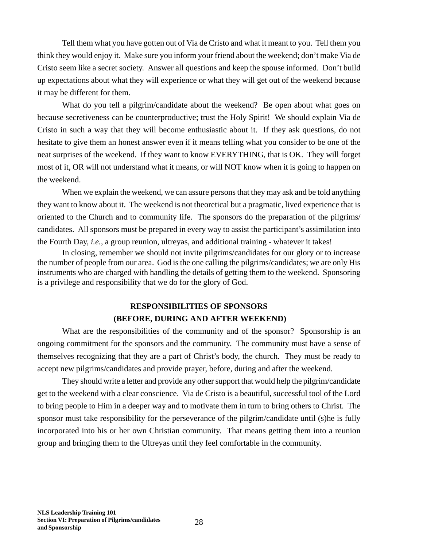Tell them what you have gotten out of Via de Cristo and what it meant to you. Tell them you think they would enjoy it. Make sure you inform your friend about the weekend; don't make Via de Cristo seem like a secret society. Answer all questions and keep the spouse informed. Don't build up expectations about what they will experience or what they will get out of the weekend because it may be different for them.

What do you tell a pilgrim/candidate about the weekend? Be open about what goes on because secretiveness can be counterproductive; trust the Holy Spirit! We should explain Via de Cristo in such a way that they will become enthusiastic about it. If they ask questions, do not hesitate to give them an honest answer even if it means telling what you consider to be one of the neat surprises of the weekend. If they want to know EVERYTHING, that is OK. They will forget most of it, OR will not understand what it means, or will NOT know when it is going to happen on the weekend.

When we explain the weekend, we can assure persons that they may ask and be told anything they want to know about it. The weekend is not theoretical but a pragmatic, lived experience that is oriented to the Church and to community life. The sponsors do the preparation of the pilgrims/ candidates. All sponsors must be prepared in every way to assist the participant's assimilation into the Fourth Day, *i.e.*, a group reunion, ultreyas, and additional training - whatever it takes!

In closing, remember we should not invite pilgrims/candidates for our glory or to increase the number of people from our area. God is the one calling the pilgrims/candidates; we are only His instruments who are charged with handling the details of getting them to the weekend. Sponsoring is a privilege and responsibility that we do for the glory of God.

### **RESPONSIBILITIES OF SPONSORS (BEFORE, DURING AND AFTER WEEKEND)**

What are the responsibilities of the community and of the sponsor? Sponsorship is an ongoing commitment for the sponsors and the community. The community must have a sense of themselves recognizing that they are a part of Christ's body, the church. They must be ready to accept new pilgrims/candidates and provide prayer, before, during and after the weekend.

They should write a letter and provide any other support that would help the pilgrim/candidate get to the weekend with a clear conscience. Via de Cristo is a beautiful, successful tool of the Lord to bring people to Him in a deeper way and to motivate them in turn to bring others to Christ. The sponsor must take responsibility for the perseverance of the pilgrim/candidate until (s)he is fully incorporated into his or her own Christian community. That means getting them into a reunion group and bringing them to the Ultreyas until they feel comfortable in the community.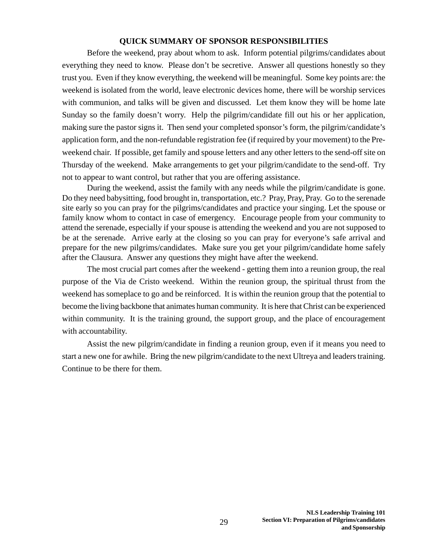#### **QUICK SUMMARY OF SPONSOR RESPONSIBILITIES**

Before the weekend, pray about whom to ask. Inform potential pilgrims/candidates about everything they need to know. Please don't be secretive. Answer all questions honestly so they trust you. Even if they know everything, the weekend will be meaningful. Some key points are: the weekend is isolated from the world, leave electronic devices home, there will be worship services with communion, and talks will be given and discussed. Let them know they will be home late Sunday so the family doesn't worry. Help the pilgrim/candidate fill out his or her application, making sure the pastor signs it. Then send your completed sponsor's form, the pilgrim/candidate's application form, and the non-refundable registration fee (if required by your movement) to the Preweekend chair. If possible, get family and spouse letters and any other letters to the send-off site on Thursday of the weekend. Make arrangements to get your pilgrim/candidate to the send-off. Try not to appear to want control, but rather that you are offering assistance.

During the weekend, assist the family with any needs while the pilgrim/candidate is gone. Do they need babysitting, food brought in, transportation, etc.? Pray, Pray, Pray. Go to the serenade site early so you can pray for the pilgrims/candidates and practice your singing. Let the spouse or family know whom to contact in case of emergency. Encourage people from your community to attend the serenade, especially if your spouse is attending the weekend and you are not supposed to be at the serenade. Arrive early at the closing so you can pray for everyone's safe arrival and prepare for the new pilgrims/candidates. Make sure you get your pilgrim/candidate home safely after the Clausura. Answer any questions they might have after the weekend.

The most crucial part comes after the weekend - getting them into a reunion group, the real purpose of the Via de Cristo weekend. Within the reunion group, the spiritual thrust from the weekend has someplace to go and be reinforced. It is within the reunion group that the potential to become the living backbone that animates human community. It is here that Christ can be experienced within community. It is the training ground, the support group, and the place of encouragement with accountability.

Assist the new pilgrim/candidate in finding a reunion group, even if it means you need to start a new one for awhile. Bring the new pilgrim/candidate to the next Ultreya and leaders training. Continue to be there for them.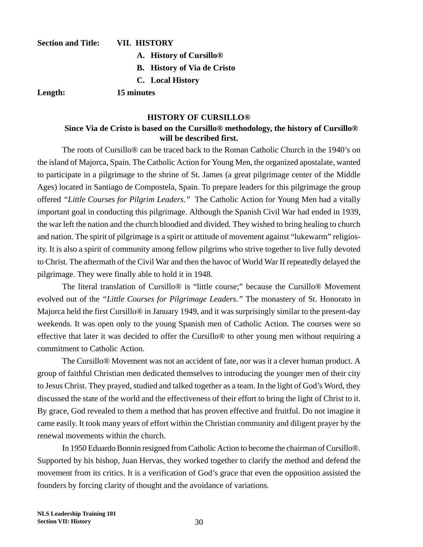### **Section and Title: VII. HISTORY A. History of Cursillo® B. History of Via de Cristo C. Local History**

**Length: 15 minutes**

#### **HISTORY OF CURSILLO®**

#### **Since Via de Cristo is based on the Cursillo® methodology, the history of Cursillo® will be described first.**

The roots of Cursillo® can be traced back to the Roman Catholic Church in the 1940's on the island of Majorca, Spain. The Catholic Action for Young Men, the organized apostalate, wanted to participate in a pilgrimage to the shrine of St. James (a great pilgrimage center of the Middle Ages) located in Santiago de Compostela, Spain. To prepare leaders for this pilgrimage the group offered *"Little Courses for Pilgrim Leaders."* The Catholic Action for Young Men had a vitally important goal in conducting this pilgrimage. Although the Spanish Civil War had ended in 1939, the war left the nation and the church bloodied and divided. They wished to bring healing to church and nation. The spirit of pilgrimage is a spirit or attitude of movement against "lukewarm" religiosity. It is also a spirit of community among fellow pilgrims who strive together to live fully devoted to Christ. The aftermath of the Civil War and then the havoc of World War II repeatedly delayed the pilgrimage. They were finally able to hold it in 1948.

The literal translation of Cursillo® is "little course;" because the Cursillo® Movement evolved out of the *"Little Courses for Pilgrimage Leaders."* The monastery of St. Honorato in Majorca held the first Cursillo® in January 1949, and it was surprisingly similar to the present-day weekends. It was open only to the young Spanish men of Catholic Action. The courses were so effective that later it was decided to offer the Cursillo® to other young men without requiring a commitment to Catholic Action.

The Cursillo® Movement was not an accident of fate, nor was it a clever human product. A group of faithful Christian men dedicated themselves to introducing the younger men of their city to Jesus Christ. They prayed, studied and talked together as a team. In the light of God's Word, they discussed the state of the world and the effectiveness of their effort to bring the light of Christ to it. By grace, God revealed to them a method that has proven effective and fruitful. Do not imagine it came easily. It took many years of effort within the Christian community and diligent prayer by the renewal movements within the church.

In 1950 Eduardo Bonnin resigned from Catholic Action to become the chairman of Cursillo®. Supported by his bishop, Juan Hervas, they worked together to clarify the method and defend the movement from its critics. It is a verification of God's grace that even the opposition assisted the founders by forcing clarity of thought and the avoidance of variations.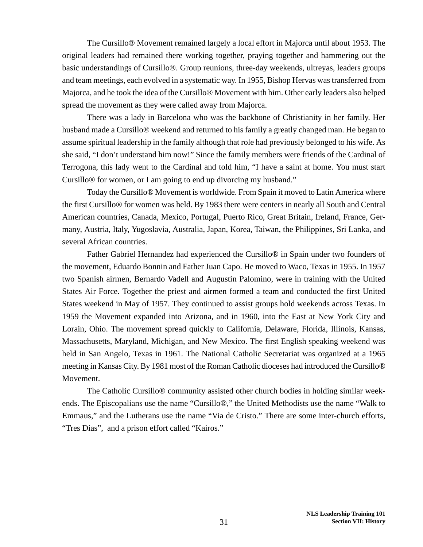The Cursillo® Movement remained largely a local effort in Majorca until about 1953. The original leaders had remained there working together, praying together and hammering out the basic understandings of Cursillo®. Group reunions, three-day weekends, ultreyas, leaders groups and team meetings, each evolved in a systematic way. In 1955, Bishop Hervas was transferred from Majorca, and he took the idea of the Cursillo® Movement with him. Other early leaders also helped spread the movement as they were called away from Majorca.

There was a lady in Barcelona who was the backbone of Christianity in her family. Her husband made a Cursillo® weekend and returned to his family a greatly changed man. He began to assume spiritual leadership in the family although that role had previously belonged to his wife. As she said, "I don't understand him now!" Since the family members were friends of the Cardinal of Terrogona, this lady went to the Cardinal and told him, "I have a saint at home. You must start Cursillo® for women, or I am going to end up divorcing my husband."

Today the Cursillo® Movement is worldwide. From Spain it moved to Latin America where the first Cursillo® for women was held. By 1983 there were centers in nearly all South and Central American countries, Canada, Mexico, Portugal, Puerto Rico, Great Britain, Ireland, France, Germany, Austria, Italy, Yugoslavia, Australia, Japan, Korea, Taiwan, the Philippines, Sri Lanka, and several African countries.

Father Gabriel Hernandez had experienced the Cursillo® in Spain under two founders of the movement, Eduardo Bonnin and Father Juan Capo. He moved to Waco, Texas in 1955. In 1957 two Spanish airmen, Bernardo Vadell and Augustin Palomino, were in training with the United States Air Force. Together the priest and airmen formed a team and conducted the first United States weekend in May of 1957. They continued to assist groups hold weekends across Texas. In 1959 the Movement expanded into Arizona, and in 1960, into the East at New York City and Lorain, Ohio. The movement spread quickly to California, Delaware, Florida, Illinois, Kansas, Massachusetts, Maryland, Michigan, and New Mexico. The first English speaking weekend was held in San Angelo, Texas in 1961. The National Catholic Secretariat was organized at a 1965 meeting in Kansas City. By 1981 most of the Roman Catholic dioceses had introduced the Cursillo® Movement.

The Catholic Cursillo® community assisted other church bodies in holding similar weekends. The Episcopalians use the name "Cursillo®," the United Methodists use the name "Walk to Emmaus," and the Lutherans use the name "Via de Cristo." There are some inter-church efforts, "Tres Dias", and a prison effort called "Kairos."